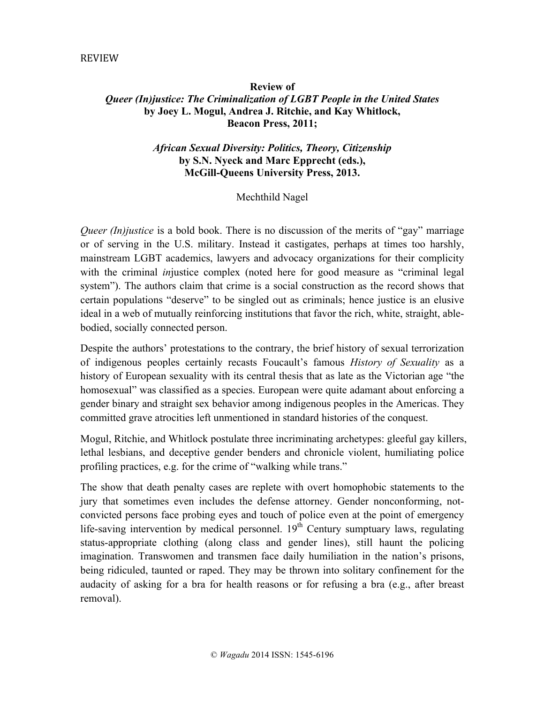#### REVIEW

# **Review of** *Queer (In)justice: The Criminalization of LGBT People in the United States* **by Joey L. Mogul, Andrea J. Ritchie, and Kay Whitlock, Beacon Press, 2011;**

## *African Sexual Diversity: Politics, Theory, Citizenship* **by S.N. Nyeck and Marc Epprecht (eds.), McGill-Queens University Press, 2013.**

### Mechthild Nagel

*Queer (In)justice* is a bold book. There is no discussion of the merits of "gay" marriage or of serving in the U.S. military. Instead it castigates, perhaps at times too harshly, mainstream LGBT academics, lawyers and advocacy organizations for their complicity with the criminal *in*justice complex (noted here for good measure as "criminal legal system"). The authors claim that crime is a social construction as the record shows that certain populations "deserve" to be singled out as criminals; hence justice is an elusive ideal in a web of mutually reinforcing institutions that favor the rich, white, straight, ablebodied, socially connected person.

Despite the authors' protestations to the contrary, the brief history of sexual terrorization of indigenous peoples certainly recasts Foucault's famous *History of Sexuality* as a history of European sexuality with its central thesis that as late as the Victorian age "the homosexual" was classified as a species. European were quite adamant about enforcing a gender binary and straight sex behavior among indigenous peoples in the Americas. They committed grave atrocities left unmentioned in standard histories of the conquest.

Mogul, Ritchie, and Whitlock postulate three incriminating archetypes: gleeful gay killers, lethal lesbians, and deceptive gender benders and chronicle violent, humiliating police profiling practices, e.g. for the crime of "walking while trans."

The show that death penalty cases are replete with overt homophobic statements to the jury that sometimes even includes the defense attorney. Gender nonconforming, notconvicted persons face probing eyes and touch of police even at the point of emergency life-saving intervention by medical personnel.  $19<sup>th</sup>$  Century sumptuary laws, regulating status-appropriate clothing (along class and gender lines), still haunt the policing imagination. Transwomen and transmen face daily humiliation in the nation's prisons, being ridiculed, taunted or raped. They may be thrown into solitary confinement for the audacity of asking for a bra for health reasons or for refusing a bra (e.g., after breast removal).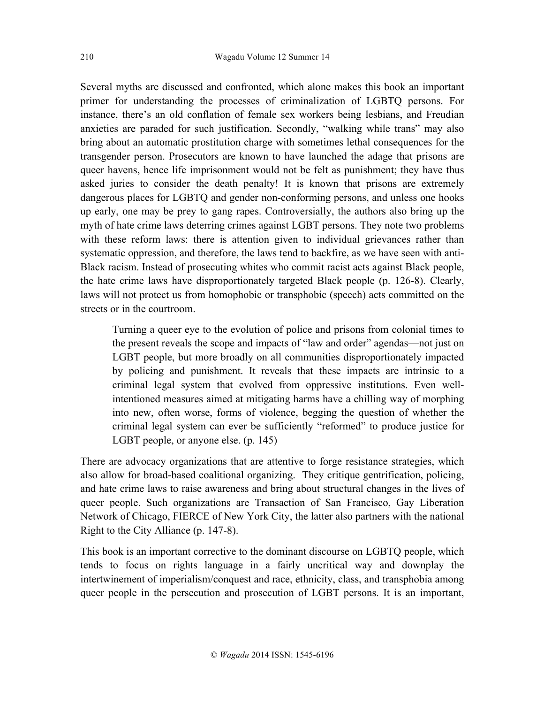Several myths are discussed and confronted, which alone makes this book an important primer for understanding the processes of criminalization of LGBTQ persons. For instance, there's an old conflation of female sex workers being lesbians, and Freudian anxieties are paraded for such justification. Secondly, "walking while trans" may also bring about an automatic prostitution charge with sometimes lethal consequences for the transgender person. Prosecutors are known to have launched the adage that prisons are queer havens, hence life imprisonment would not be felt as punishment; they have thus asked juries to consider the death penalty! It is known that prisons are extremely dangerous places for LGBTQ and gender non-conforming persons, and unless one hooks up early, one may be prey to gang rapes. Controversially, the authors also bring up the myth of hate crime laws deterring crimes against LGBT persons. They note two problems with these reform laws: there is attention given to individual grievances rather than systematic oppression, and therefore, the laws tend to backfire, as we have seen with anti-Black racism. Instead of prosecuting whites who commit racist acts against Black people, the hate crime laws have disproportionately targeted Black people (p. 126-8). Clearly, laws will not protect us from homophobic or transphobic (speech) acts committed on the streets or in the courtroom.

Turning a queer eye to the evolution of police and prisons from colonial times to the present reveals the scope and impacts of "law and order" agendas—not just on LGBT people, but more broadly on all communities disproportionately impacted by policing and punishment. It reveals that these impacts are intrinsic to a criminal legal system that evolved from oppressive institutions. Even wellintentioned measures aimed at mitigating harms have a chilling way of morphing into new, often worse, forms of violence, begging the question of whether the criminal legal system can ever be sufficiently "reformed" to produce justice for LGBT people, or anyone else. (p. 145)

There are advocacy organizations that are attentive to forge resistance strategies, which also allow for broad-based coalitional organizing. They critique gentrification, policing, and hate crime laws to raise awareness and bring about structural changes in the lives of queer people. Such organizations are Transaction of San Francisco, Gay Liberation Network of Chicago, FIERCE of New York City, the latter also partners with the national Right to the City Alliance (p. 147-8).

This book is an important corrective to the dominant discourse on LGBTQ people, which tends to focus on rights language in a fairly uncritical way and downplay the intertwinement of imperialism/conquest and race, ethnicity, class, and transphobia among queer people in the persecution and prosecution of LGBT persons. It is an important,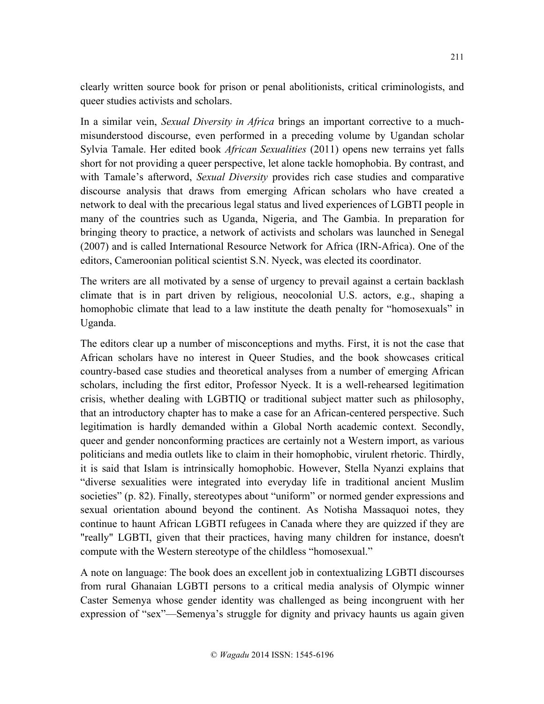clearly written source book for prison or penal abolitionists, critical criminologists, and queer studies activists and scholars.

In a similar vein, *Sexual Diversity in Africa* brings an important corrective to a muchmisunderstood discourse, even performed in a preceding volume by Ugandan scholar Sylvia Tamale. Her edited book *African Sexualities* (2011) opens new terrains yet falls short for not providing a queer perspective, let alone tackle homophobia. By contrast, and with Tamale's afterword, *Sexual Diversity* provides rich case studies and comparative discourse analysis that draws from emerging African scholars who have created a network to deal with the precarious legal status and lived experiences of LGBTI people in many of the countries such as Uganda, Nigeria, and The Gambia. In preparation for bringing theory to practice, a network of activists and scholars was launched in Senegal (2007) and is called International Resource Network for Africa (IRN-Africa). One of the editors, Cameroonian political scientist S.N. Nyeck, was elected its coordinator.

The writers are all motivated by a sense of urgency to prevail against a certain backlash climate that is in part driven by religious, neocolonial U.S. actors, e.g., shaping a homophobic climate that lead to a law institute the death penalty for "homosexuals" in Uganda.

The editors clear up a number of misconceptions and myths. First, it is not the case that African scholars have no interest in Queer Studies, and the book showcases critical country-based case studies and theoretical analyses from a number of emerging African scholars, including the first editor, Professor Nyeck. It is a well-rehearsed legitimation crisis, whether dealing with LGBTIQ or traditional subject matter such as philosophy, that an introductory chapter has to make a case for an African-centered perspective. Such legitimation is hardly demanded within a Global North academic context. Secondly, queer and gender nonconforming practices are certainly not a Western import, as various politicians and media outlets like to claim in their homophobic, virulent rhetoric. Thirdly, it is said that Islam is intrinsically homophobic. However, Stella Nyanzi explains that "diverse sexualities were integrated into everyday life in traditional ancient Muslim societies" (p. 82). Finally, stereotypes about "uniform" or normed gender expressions and sexual orientation abound beyond the continent. As Notisha Massaquoi notes, they continue to haunt African LGBTI refugees in Canada where they are quizzed if they are "really" LGBTI, given that their practices, having many children for instance, doesn't compute with the Western stereotype of the childless "homosexual."

A note on language: The book does an excellent job in contextualizing LGBTI discourses from rural Ghanaian LGBTI persons to a critical media analysis of Olympic winner Caster Semenya whose gender identity was challenged as being incongruent with her expression of "sex"—Semenya's struggle for dignity and privacy haunts us again given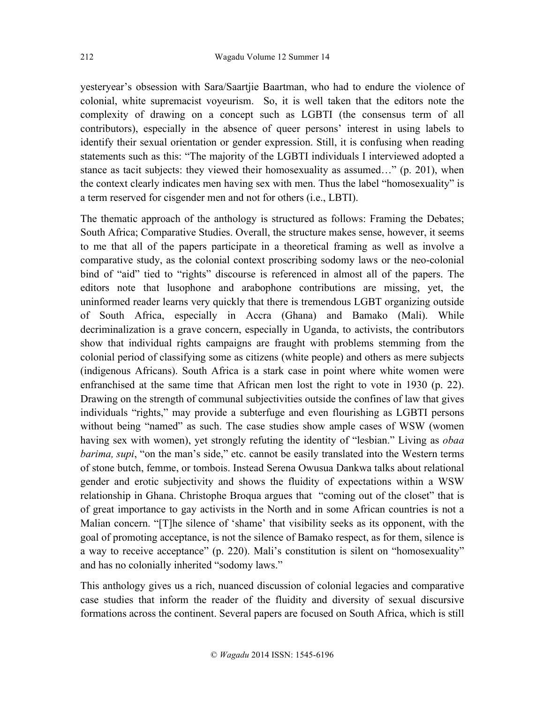yesteryear's obsession with Sara/Saartjie Baartman, who had to endure the violence of colonial, white supremacist voyeurism. So, it is well taken that the editors note the complexity of drawing on a concept such as LGBTI (the consensus term of all contributors), especially in the absence of queer persons' interest in using labels to identify their sexual orientation or gender expression. Still, it is confusing when reading statements such as this: "The majority of the LGBTI individuals I interviewed adopted a stance as tacit subjects: they viewed their homosexuality as assumed…" (p. 201), when the context clearly indicates men having sex with men. Thus the label "homosexuality" is a term reserved for cisgender men and not for others (i.e., LBTI).

The thematic approach of the anthology is structured as follows: Framing the Debates; South Africa; Comparative Studies. Overall, the structure makes sense, however, it seems to me that all of the papers participate in a theoretical framing as well as involve a comparative study, as the colonial context proscribing sodomy laws or the neo-colonial bind of "aid" tied to "rights" discourse is referenced in almost all of the papers. The editors note that lusophone and arabophone contributions are missing, yet, the uninformed reader learns very quickly that there is tremendous LGBT organizing outside of South Africa, especially in Accra (Ghana) and Bamako (Mali). While decriminalization is a grave concern, especially in Uganda, to activists, the contributors show that individual rights campaigns are fraught with problems stemming from the colonial period of classifying some as citizens (white people) and others as mere subjects (indigenous Africans). South Africa is a stark case in point where white women were enfranchised at the same time that African men lost the right to vote in 1930 (p. 22). Drawing on the strength of communal subjectivities outside the confines of law that gives individuals "rights," may provide a subterfuge and even flourishing as LGBTI persons without being "named" as such. The case studies show ample cases of WSW (women having sex with women), yet strongly refuting the identity of "lesbian." Living as *obaa barima, supi*, "on the man's side," etc. cannot be easily translated into the Western terms of stone butch, femme, or tombois. Instead Serena Owusua Dankwa talks about relational gender and erotic subjectivity and shows the fluidity of expectations within a WSW relationship in Ghana. Christophe Broqua argues that "coming out of the closet" that is of great importance to gay activists in the North and in some African countries is not a Malian concern. "[T]he silence of 'shame' that visibility seeks as its opponent, with the goal of promoting acceptance, is not the silence of Bamako respect, as for them, silence is a way to receive acceptance" (p. 220). Mali's constitution is silent on "homosexuality" and has no colonially inherited "sodomy laws."

This anthology gives us a rich, nuanced discussion of colonial legacies and comparative case studies that inform the reader of the fluidity and diversity of sexual discursive formations across the continent. Several papers are focused on South Africa, which is still